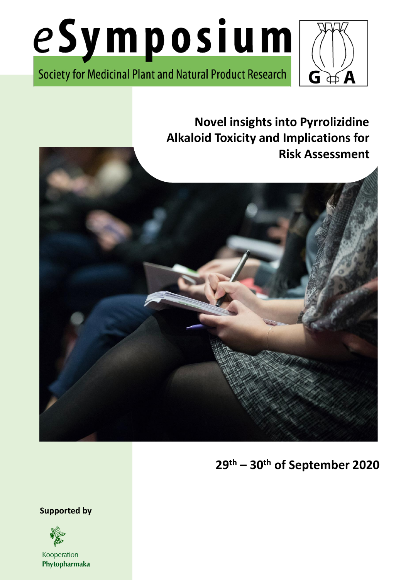

Society for Medicinal Plant and Natural Product Research



**Novel insights into Pyrrolizidine Alkaloid Toxicity and Implications for Risk Assessment**



**29th – 30th of September 2020**

**Supported by**



Kooperation Phytopharmaka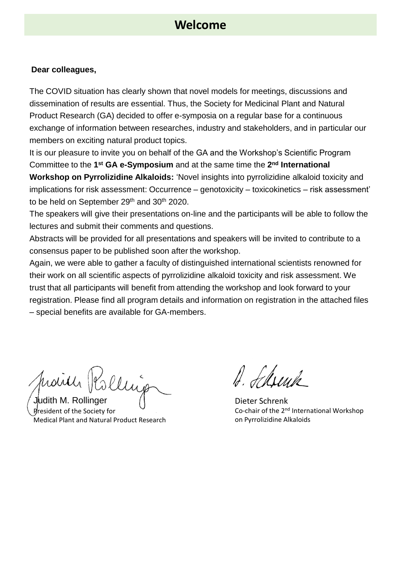### **Welcome**

#### **Dear colleagues,**

The COVID situation has clearly shown that novel models for meetings, discussions and dissemination of results are essential. Thus, the Society for Medicinal Plant and Natural Product Research (GA) decided to offer e-symposia on a regular base for a continuous exchange of information between researches, industry and stakeholders, and in particular our members on exciting natural product topics.

It is our pleasure to invite you on behalf of the GA and the Workshop's Scientific Program Committee to the 1<sup>st</sup> GA e-Symposium and at the same time the 2<sup>nd</sup> International

**Workshop on Pyrrolizidine Alkaloids:** 'Novel insights into pyrrolizidine alkaloid toxicity and implications for risk assessment: Occurrence – genotoxicity – toxicokinetics – risk assessment' to be held on September 29<sup>th</sup> and 30<sup>th</sup> 2020.

The speakers will give their presentations on-line and the participants will be able to follow the lectures and submit their comments and questions.

Abstracts will be provided for all presentations and speakers will be invited to contribute to a consensus paper to be published soon after the workshop.

Again, we were able to gather a faculty of distinguished international scientists renowned for their work on all scientific aspects of pyrrolizidine alkaloid toxicity and risk assessment. We trust that all participants will benefit from attending the workshop and look forward to your registration. Please find all program details and information on registration in the attached files – special benefits are available for GA-members.

Mairer Rolling

Judith M. Rollinger President of the Society for Medical Plant and Natural Product Research

b. Ilwik

Dieter Schrenk Co-chair of the 2<sup>nd</sup> International Workshop on Pyrrolizidine Alkaloids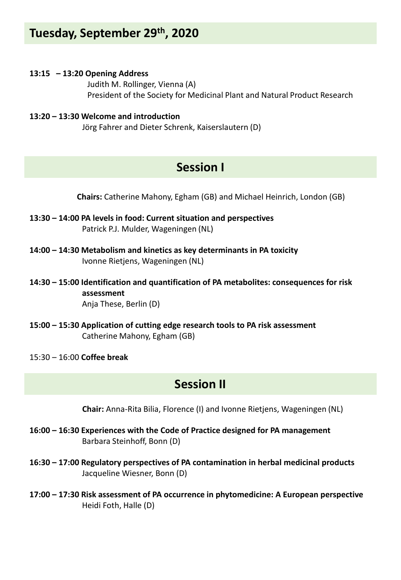# **Tuesday, September 29th, 2020**

#### **13:15 – 13:20 Opening Address**

Judith M. Rollinger, Vienna (A) President of the Society for Medicinal Plant and Natural Product Research

#### **13:20 – 13:30 Welcome and introduction**

Jörg Fahrer and Dieter Schrenk, Kaiserslautern (D)

# **Session I**

**Chairs:** Catherine Mahony, Egham (GB) and Michael Heinrich, London (GB)

- **13:30 – 14:00 PA levels in food: Current situation and perspectives** Patrick P.J. Mulder, Wageningen (NL)
- **14:00 – 14:30 Metabolism and kinetics as key determinants in PA toxicity** Ivonne Rietjens, Wageningen (NL)
- **14:30 – 15:00 Identification and quantification of PA metabolites: consequences for risk assessment** Anja These, Berlin (D)
- **15:00 – 15:30 Application of cutting edge research tools to PA risk assessment** Catherine Mahony, Egham (GB)
- 15:30 16:00 **Coffee break**

### **Session II**

**Chair:** Anna-Rita Bilia, Florence (I) and Ivonne Rietjens, Wageningen (NL)

- **16:00 – 16:30 Experiences with the Code of Practice designed for PA management** Barbara Steinhoff, Bonn (D)
- **16:30 – 17:00 Regulatory perspectives of PA contamination in herbal medicinal products** Jacqueline Wiesner, Bonn (D)
- **17:00 – 17:30 Risk assessment of PA occurrence in phytomedicine: A European perspective** Heidi Foth, Halle (D)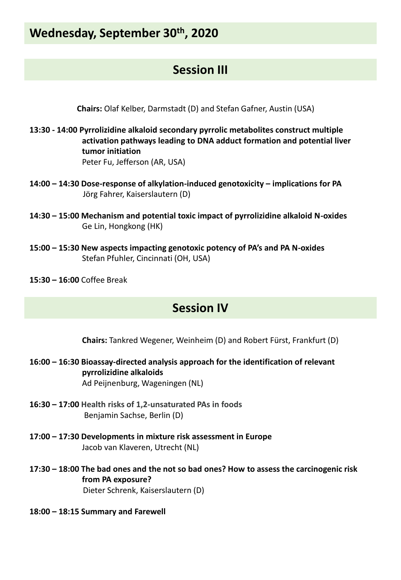# **Wednesday, September 30th, 2020**

# **Session III**

**Chairs:** Olaf Kelber, Darmstadt (D) and Stefan Gafner, Austin (USA)

- **13:30 - 14:00 Pyrrolizidine alkaloid secondary pyrrolic metabolites construct multiple activation pathways leading to DNA adduct formation and potential liver tumor initiation** Peter Fu, Jefferson (AR, USA)
- **14:00 – 14:30 Dose-response of alkylation-induced genotoxicity – implications for PA** Jörg Fahrer, Kaiserslautern (D)
- **14:30 – 15:00 Mechanism and potential toxic impact of pyrrolizidine alkaloid N-oxides** Ge Lin, Hongkong (HK)
- **15:00 – 15:30 New aspects impacting genotoxic potency of PA's and PA N-oxides** Stefan Pfuhler, Cincinnati (OH, USA)
- **15:30 – 16:00** Coffee Break

### **Session IV**

**Chairs:** Tankred Wegener, Weinheim (D) and Robert Fürst, Frankfurt (D)

- **16:00 – 16:30 Bioassay-directed analysis approach for the identification of relevant pyrrolizidine alkaloids** Ad Peijnenburg, Wageningen (NL)
- **16:30 – 17:00 Health risks of 1,2-unsaturated PAs in foods** Benjamin Sachse, Berlin (D)
- **17:00 – 17:30 Developments in mixture risk assessment in Europe** Jacob van Klaveren, Utrecht (NL)
- **17:30 – 18:00 The bad ones and the not so bad ones? How to assess the carcinogenic risk from PA exposure?** Dieter Schrenk, Kaiserslautern (D)
- **18:00 – 18:15 Summary and Farewell**